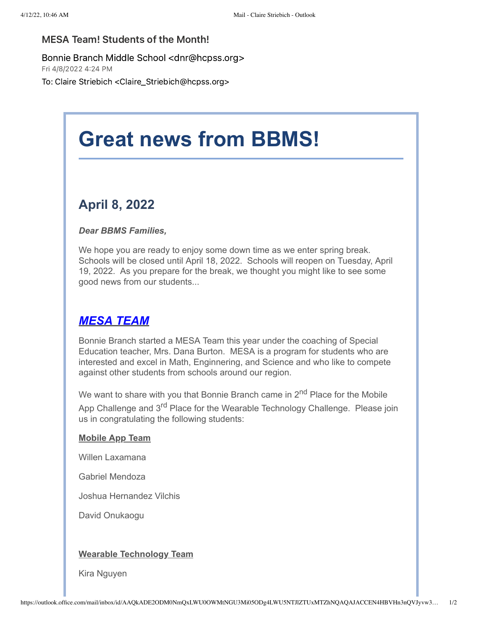### MESA Team! Students of the Month!

Bonnie Branch Middle School <dnr@hcpss.org>

Fri 4/8/2022 4:24 PM

To: Claire Striebich <Claire\_Striebich@hcpss.org>

# **Great news from BBMS!**

# **April 8, 2022**

#### *Dear BBMS Families,*

We hope you are ready to enjoy some down time as we enter spring break. Schools will be closed until April 18, 2022. Schools will reopen on Tuesday, April 19, 2022. As you prepare for the break, we thought you might like to see some good news from our students...

# *MESA TEAM*

Bonnie Branch started a MESA Team this year under the coaching of Special Education teacher, Mrs. Dana Burton. MESA is a program for students who are interested and excel in Math, Enginnering, and Science and who like to compete against other students from schools around our region.

We want to share with you that Bonnie Branch came in  $2<sup>nd</sup>$  Place for the Mobile App Challenge and 3<sup>rd</sup> Place for the Wearable Technology Challenge. Please join us in congratulating the following students:

#### **Mobile App Team**

Willen Laxamana

Gabriel Mendoza

Joshua Hernandez Vilchis

David Onukaogu

#### **Wearable Technology Team**

Kira Nguyen